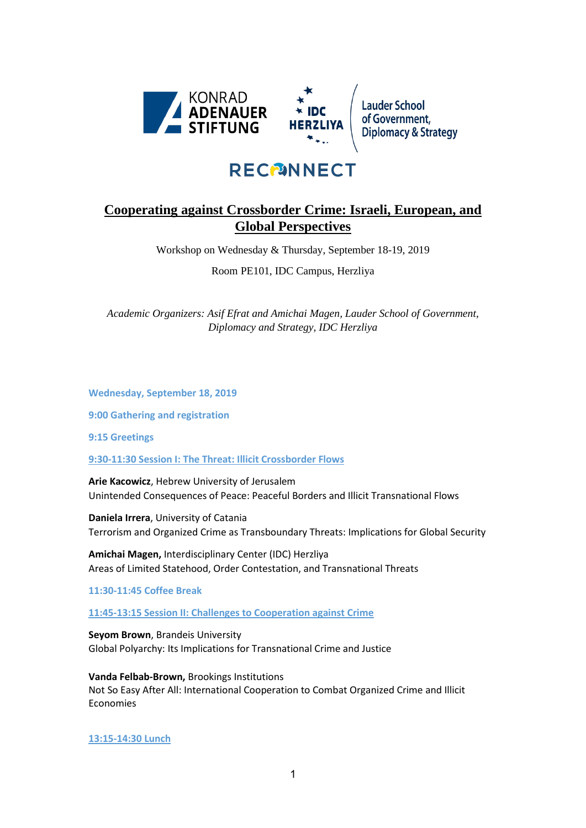

# **RECPINNECT**

# **Cooperating against Crossborder Crime: Israeli, European, and Global Perspectives**

Workshop on Wednesday & Thursday, September 18-19, 2019

Room PE101, IDC Campus, Herzliya

*Academic Organizers: Asif Efrat and Amichai Magen, Lauder School of Government, Diplomacy and Strategy, IDC Herzliya*

**Wednesday, September 18, 2019**

**9:00 Gathering and registration** 

**9:15 Greetings** 

**9:30-11:30 Session I: The Threat: Illicit Crossborder Flows** 

**Arie Kacowicz**, Hebrew University of Jerusalem Unintended Consequences of Peace: Peaceful Borders and Illicit Transnational Flows

**Daniela Irrera**, University of Catania Terrorism and Organized Crime as Transboundary Threats: Implications for Global Security

**Amichai Magen,** Interdisciplinary Center (IDC) Herzliya Areas of Limited Statehood, Order Contestation, and Transnational Threats

**11:30-11:45 Coffee Break**

**11:45-13:15 Session II: Challenges to Cooperation against Crime**

**Seyom Brown**, Brandeis University Global Polyarchy: Its Implications for Transnational Crime and Justice

**Vanda Felbab-Brown,** Brookings Institutions Not So Easy After All: International Cooperation to Combat Organized Crime and Illicit Economies

**13:15-14:30 Lunch**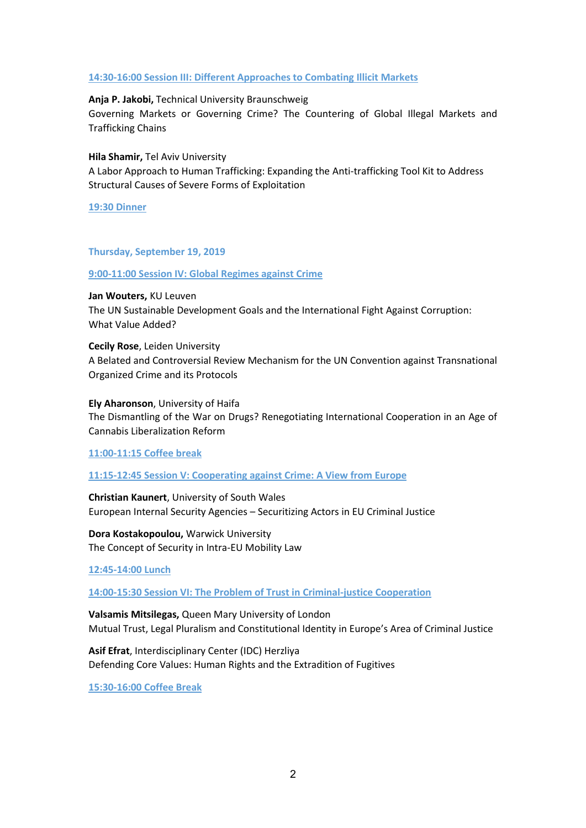#### **14:30-16:00 Session III: Different Approaches to Combating Illicit Markets**

#### **Anja P. Jakobi,** Technical University Braunschweig

Governing Markets or Governing Crime? The Countering of Global Illegal Markets and Trafficking Chains

**Hila Shamir,** Tel Aviv University

A Labor Approach to Human Trafficking: Expanding the Anti-trafficking Tool Kit to Address Structural Causes of Severe Forms of Exploitation

**19:30 Dinner** 

#### **Thursday, September 19, 2019**

**9:00-11:00 Session IV: Global Regimes against Crime**

**Jan Wouters,** KU Leuven The UN Sustainable Development Goals and the International Fight Against Corruption: What Value Added?

**Cecily Rose**, Leiden University A Belated and Controversial Review Mechanism for the UN Convention against Transnational Organized Crime and its Protocols

**Ely Aharonson**, University of Haifa The Dismantling of the War on Drugs? Renegotiating International Cooperation in an Age of Cannabis Liberalization Reform

**11:00-11:15 Coffee break**

### **11:15-12:45 Session V: Cooperating against Crime: A View from Europe**

**Christian Kaunert**, University of South Wales European Internal Security Agencies – Securitizing Actors in EU Criminal Justice

**Dora Kostakopoulou,** Warwick University The Concept of Security in Intra-EU Mobility Law

**12:45-14:00 Lunch**

**14:00-15:30 Session VI: The Problem of Trust in Criminal-justice Cooperation** 

**Valsamis Mitsilegas,** Queen Mary University of London Mutual Trust, Legal Pluralism and Constitutional Identity in Europe's Area of Criminal Justice

**Asif Efrat**, Interdisciplinary Center (IDC) Herzliya Defending Core Values: Human Rights and the Extradition of Fugitives

**15:30-16:00 Coffee Break**